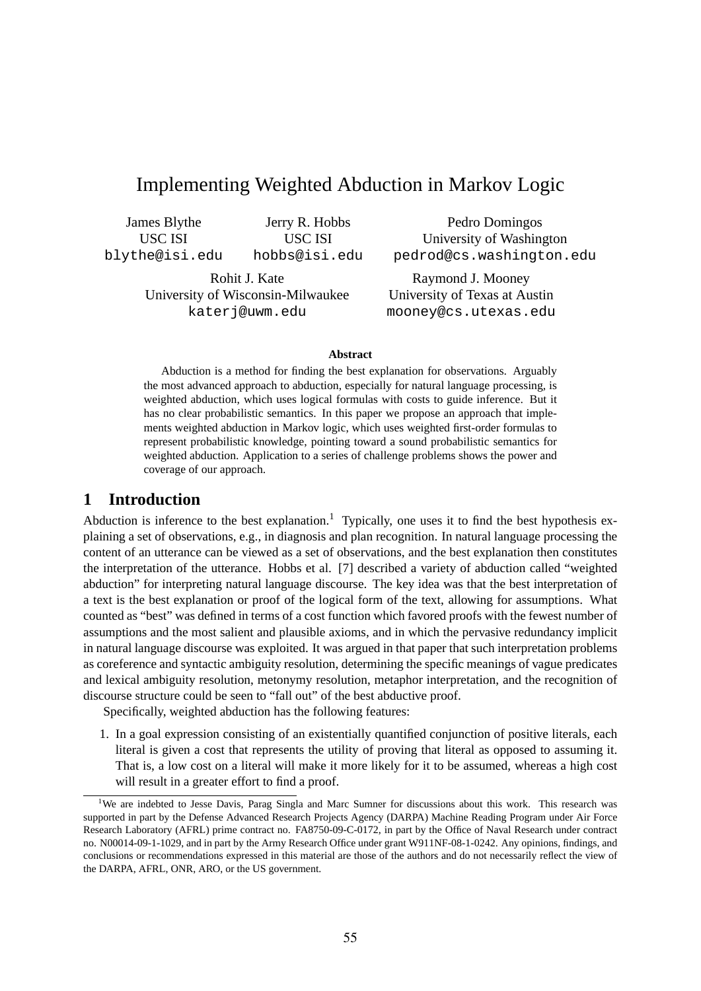# Implementing Weighted Abduction in Markov Logic

James Blythe USC ISI blythe@isi.edu

Jerry R. Hobbs USC ISI hobbs@isi.edu

Rohit J. Kate University of Wisconsin-Milwaukee katerj@uwm.edu

Pedro Domingos University of Washington pedrod@cs.washington.edu

Raymond J. Mooney University of Texas at Austin mooney@cs.utexas.edu

#### **Abstract**

Abduction is a method for finding the best explanation for observations. Arguably the most advanced approach to abduction, especially for natural language processing, is weighted abduction, which uses logical formulas with costs to guide inference. But it has no clear probabilistic semantics. In this paper we propose an approach that implements weighted abduction in Markov logic, which uses weighted first-order formulas to represent probabilistic knowledge, pointing toward a sound probabilistic semantics for weighted abduction. Application to a series of challenge problems shows the power and coverage of our approach.

### **1 Introduction**

Abduction is inference to the best explanation.<sup>1</sup> Typically, one uses it to find the best hypothesis explaining a set of observations, e.g., in diagnosis and plan recognition. In natural language processing the content of an utterance can be viewed as a set of observations, and the best explanation then constitutes the interpretation of the utterance. Hobbs et al. [7] described a variety of abduction called "weighted abduction" for interpreting natural language discourse. The key idea was that the best interpretation of a text is the best explanation or proof of the logical form of the text, allowing for assumptions. What counted as "best" was defined in terms of a cost function which favored proofs with the fewest number of assumptions and the most salient and plausible axioms, and in which the pervasive redundancy implicit in natural language discourse was exploited. It was argued in that paper that such interpretation problems as coreference and syntactic ambiguity resolution, determining the specific meanings of vague predicates and lexical ambiguity resolution, metonymy resolution, metaphor interpretation, and the recognition of discourse structure could be seen to "fall out" of the best abductive proof.

Specifically, weighted abduction has the following features:

1. In a goal expression consisting of an existentially quantified conjunction of positive literals, each literal is given a cost that represents the utility of proving that literal as opposed to assuming it. That is, a low cost on a literal will make it more likely for it to be assumed, whereas a high cost will result in a greater effort to find a proof.

<sup>&</sup>lt;sup>1</sup>We are indebted to Jesse Davis, Parag Singla and Marc Sumner for discussions about this work. This research was supported in part by the Defense Advanced Research Projects Agency (DARPA) Machine Reading Program under Air Force Research Laboratory (AFRL) prime contract no. FA8750-09-C-0172, in part by the Office of Naval Research under contract no. N00014-09-1-1029, and in part by the Army Research Office under grant W911NF-08-1-0242. Any opinions, findings, and conclusions or recommendations expressed in this material are those of the authors and do not necessarily reflect the view of the DARPA, AFRL, ONR, ARO, or the US government.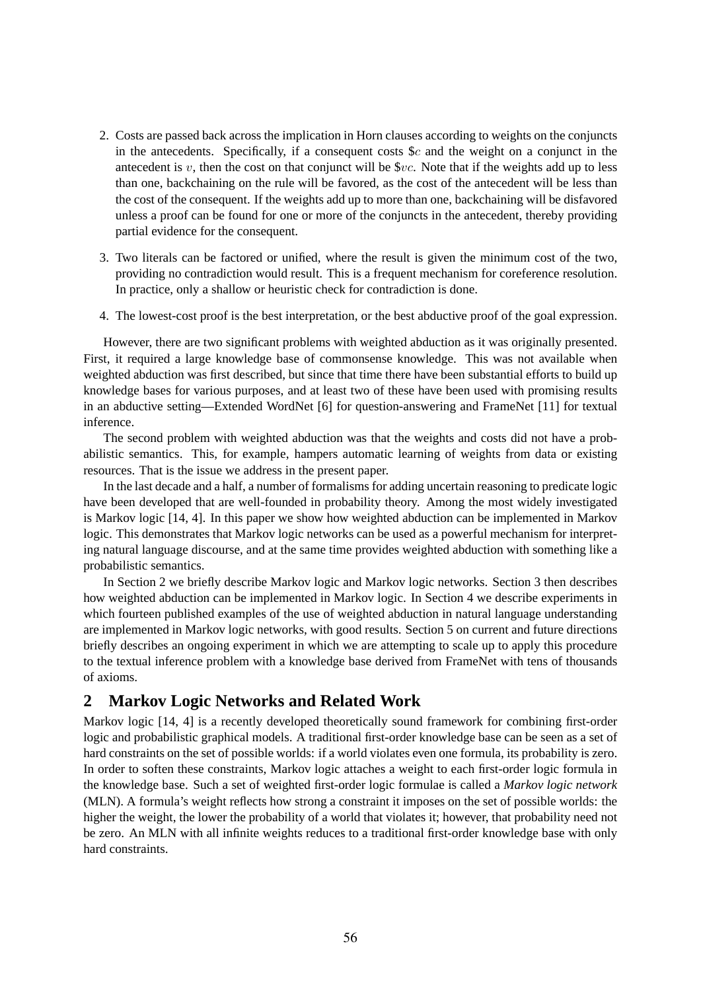- 2. Costs are passed back across the implication in Horn clauses according to weights on the conjuncts in the antecedents. Specifically, if a consequent costs  $\&c$  and the weight on a conjunct in the antecedent is  $v$ , then the cost on that conjunct will be  $\$vc$ . Note that if the weights add up to less than one, backchaining on the rule will be favored, as the cost of the antecedent will be less than the cost of the consequent. If the weights add up to more than one, backchaining will be disfavored unless a proof can be found for one or more of the conjuncts in the antecedent, thereby providing partial evidence for the consequent.
- 3. Two literals can be factored or unified, where the result is given the minimum cost of the two, providing no contradiction would result. This is a frequent mechanism for coreference resolution. In practice, only a shallow or heuristic check for contradiction is done.
- 4. The lowest-cost proof is the best interpretation, or the best abductive proof of the goal expression.

However, there are two significant problems with weighted abduction as it was originally presented. First, it required a large knowledge base of commonsense knowledge. This was not available when weighted abduction was first described, but since that time there have been substantial efforts to build up knowledge bases for various purposes, and at least two of these have been used with promising results in an abductive setting—Extended WordNet [6] for question-answering and FrameNet [11] for textual inference.

The second problem with weighted abduction was that the weights and costs did not have a probabilistic semantics. This, for example, hampers automatic learning of weights from data or existing resources. That is the issue we address in the present paper.

In the last decade and a half, a number of formalisms for adding uncertain reasoning to predicate logic have been developed that are well-founded in probability theory. Among the most widely investigated is Markov logic [14, 4]. In this paper we show how weighted abduction can be implemented in Markov logic. This demonstrates that Markov logic networks can be used as a powerful mechanism for interpreting natural language discourse, and at the same time provides weighted abduction with something like a probabilistic semantics.

In Section 2 we briefly describe Markov logic and Markov logic networks. Section 3 then describes how weighted abduction can be implemented in Markov logic. In Section 4 we describe experiments in which fourteen published examples of the use of weighted abduction in natural language understanding are implemented in Markov logic networks, with good results. Section 5 on current and future directions briefly describes an ongoing experiment in which we are attempting to scale up to apply this procedure to the textual inference problem with a knowledge base derived from FrameNet with tens of thousands of axioms.

## **2 Markov Logic Networks and Related Work**

Markov logic [14, 4] is a recently developed theoretically sound framework for combining first-order logic and probabilistic graphical models. A traditional first-order knowledge base can be seen as a set of hard constraints on the set of possible worlds: if a world violates even one formula, its probability is zero. In order to soften these constraints, Markov logic attaches a weight to each first-order logic formula in the knowledge base. Such a set of weighted first-order logic formulae is called a *Markov logic network* (MLN). A formula's weight reflects how strong a constraint it imposes on the set of possible worlds: the higher the weight, the lower the probability of a world that violates it; however, that probability need not be zero. An MLN with all infinite weights reduces to a traditional first-order knowledge base with only hard constraints.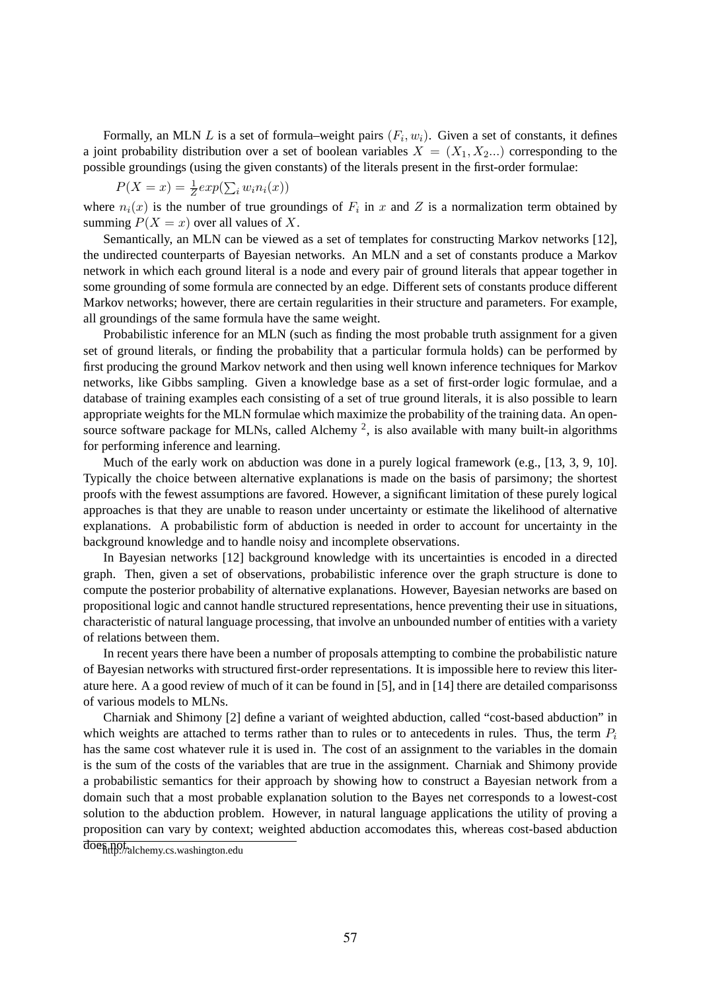Formally, an MLN L is a set of formula–weight pairs  $(F_i, w_i)$ . Given a set of constants, it defines a joint probability distribution over a set of boolean variables  $X = (X_1, X_2, ...)$  corresponding to the possible groundings (using the given constants) of the literals present in the first-order formulae:

$$
P(X = x) = \frac{1}{Z} exp(\sum_i w_i n_i(x))
$$

where  $n_i(x)$  is the number of true groundings of  $F_i$  in x and Z is a normalization term obtained by summing  $P(X = x)$  over all values of X.

Semantically, an MLN can be viewed as a set of templates for constructing Markov networks [12], the undirected counterparts of Bayesian networks. An MLN and a set of constants produce a Markov network in which each ground literal is a node and every pair of ground literals that appear together in some grounding of some formula are connected by an edge. Different sets of constants produce different Markov networks; however, there are certain regularities in their structure and parameters. For example, all groundings of the same formula have the same weight.

Probabilistic inference for an MLN (such as finding the most probable truth assignment for a given set of ground literals, or finding the probability that a particular formula holds) can be performed by first producing the ground Markov network and then using well known inference techniques for Markov networks, like Gibbs sampling. Given a knowledge base as a set of first-order logic formulae, and a database of training examples each consisting of a set of true ground literals, it is also possible to learn appropriate weights for the MLN formulae which maximize the probability of the training data. An opensource software package for MLNs, called Alchemy<sup>2</sup>, is also available with many built-in algorithms for performing inference and learning.

Much of the early work on abduction was done in a purely logical framework (e.g., [13, 3, 9, 10]. Typically the choice between alternative explanations is made on the basis of parsimony; the shortest proofs with the fewest assumptions are favored. However, a significant limitation of these purely logical approaches is that they are unable to reason under uncertainty or estimate the likelihood of alternative explanations. A probabilistic form of abduction is needed in order to account for uncertainty in the background knowledge and to handle noisy and incomplete observations.

In Bayesian networks [12] background knowledge with its uncertainties is encoded in a directed graph. Then, given a set of observations, probabilistic inference over the graph structure is done to compute the posterior probability of alternative explanations. However, Bayesian networks are based on propositional logic and cannot handle structured representations, hence preventing their use in situations, characteristic of natural language processing, that involve an unbounded number of entities with a variety of relations between them.

In recent years there have been a number of proposals attempting to combine the probabilistic nature of Bayesian networks with structured first-order representations. It is impossible here to review this literature here. A a good review of much of it can be found in [5], and in [14] there are detailed comparisonss of various models to MLNs.

Charniak and Shimony [2] define a variant of weighted abduction, called "cost-based abduction" in which weights are attached to terms rather than to rules or to antecedents in rules. Thus, the term  $P_i$ has the same cost whatever rule it is used in. The cost of an assignment to the variables in the domain is the sum of the costs of the variables that are true in the assignment. Charniak and Shimony provide a probabilistic semantics for their approach by showing how to construct a Bayesian network from a domain such that a most probable explanation solution to the Bayes net corresponds to a lowest-cost solution to the abduction problem. However, in natural language applications the utility of proving a proposition can vary by context; weighted abduction accomodates this, whereas cost-based abduction

doe<sub>nt</sub>pot<sub>/alchemy.cs.washington.edu</sub>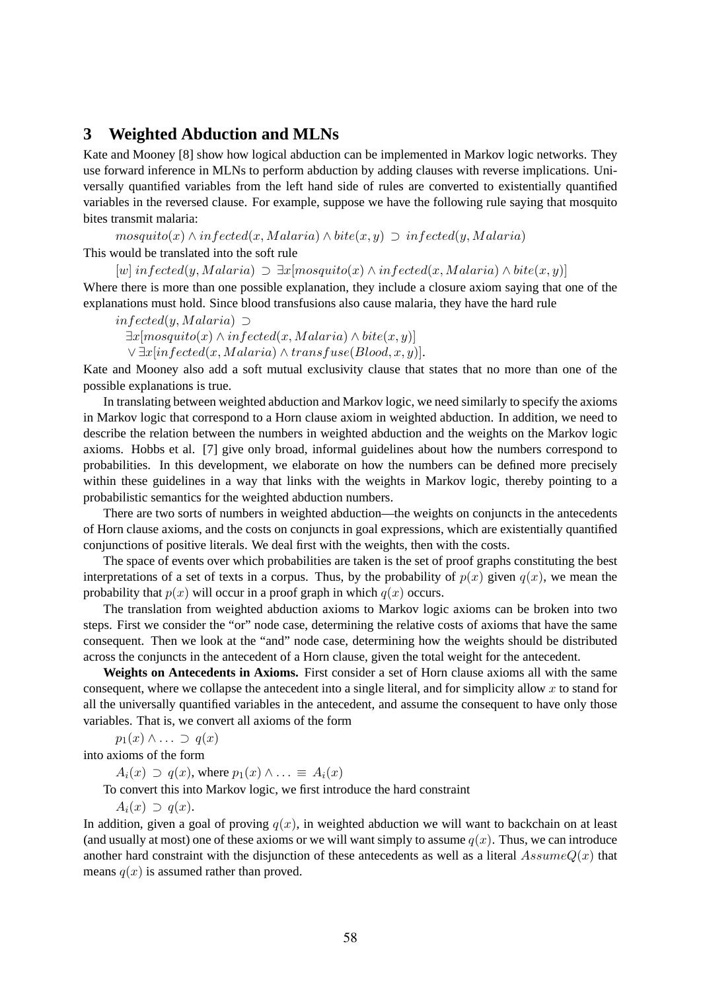### **3 Weighted Abduction and MLNs**

Kate and Mooney [8] show how logical abduction can be implemented in Markov logic networks. They use forward inference in MLNs to perform abduction by adding clauses with reverse implications. Universally quantified variables from the left hand side of rules are converted to existentially quantified variables in the reversed clause. For example, suppose we have the following rule saying that mosquito bites transmit malaria:

 $mosquito(x) \wedge infected(x, Malaria) \wedge bite(x, y) \supset infected(y, Malaria)$ 

This would be translated into the soft rule

 $[w]$  infected(y, Malaria)  $\supset \exists x [mosquito(x) \wedge infected(x, Malaria) \wedge bite(x, y)]$ Where there is more than one possible explanation, they include a closure axiom saying that one of the explanations must hold. Since blood transfusions also cause malaria, they have the hard rule

 $infected(y, Malaria)$  ⊃  $\exists x [mosquito(x) \land infected(x, Malaria) \land bite(x, y)]$  $\vee \exists x [infected(x, Malaria) \wedge transfuse(Blood, x, y)].$ 

Kate and Mooney also add a soft mutual exclusivity clause that states that no more than one of the possible explanations is true.

In translating between weighted abduction and Markov logic, we need similarly to specify the axioms in Markov logic that correspond to a Horn clause axiom in weighted abduction. In addition, we need to describe the relation between the numbers in weighted abduction and the weights on the Markov logic axioms. Hobbs et al. [7] give only broad, informal guidelines about how the numbers correspond to probabilities. In this development, we elaborate on how the numbers can be defined more precisely within these guidelines in a way that links with the weights in Markov logic, thereby pointing to a probabilistic semantics for the weighted abduction numbers.

There are two sorts of numbers in weighted abduction—the weights on conjuncts in the antecedents of Horn clause axioms, and the costs on conjuncts in goal expressions, which are existentially quantified conjunctions of positive literals. We deal first with the weights, then with the costs.

The space of events over which probabilities are taken is the set of proof graphs constituting the best interpretations of a set of texts in a corpus. Thus, by the probability of  $p(x)$  given  $q(x)$ , we mean the probability that  $p(x)$  will occur in a proof graph in which  $q(x)$  occurs.

The translation from weighted abduction axioms to Markov logic axioms can be broken into two steps. First we consider the "or" node case, determining the relative costs of axioms that have the same consequent. Then we look at the "and" node case, determining how the weights should be distributed across the conjuncts in the antecedent of a Horn clause, given the total weight for the antecedent.

**Weights on Antecedents in Axioms.** First consider a set of Horn clause axioms all with the same consequent, where we collapse the antecedent into a single literal, and for simplicity allow  $x$  to stand for all the universally quantified variables in the antecedent, and assume the consequent to have only those variables. That is, we convert all axioms of the form

 $p_1(x) \wedge \ldots \supset q(x)$ 

into axioms of the form

 $A_i(x) \supset q(x)$ , where  $p_1(x) \wedge \ldots \equiv A_i(x)$ 

To convert this into Markov logic, we first introduce the hard constraint

 $A_i(x) \supset q(x)$ .

In addition, given a goal of proving  $q(x)$ , in weighted abduction we will want to backchain on at least (and usually at most) one of these axioms or we will want simply to assume  $q(x)$ . Thus, we can introduce another hard constraint with the disjunction of these antecedents as well as a literal  $AssumeQ(x)$  that means  $q(x)$  is assumed rather than proved.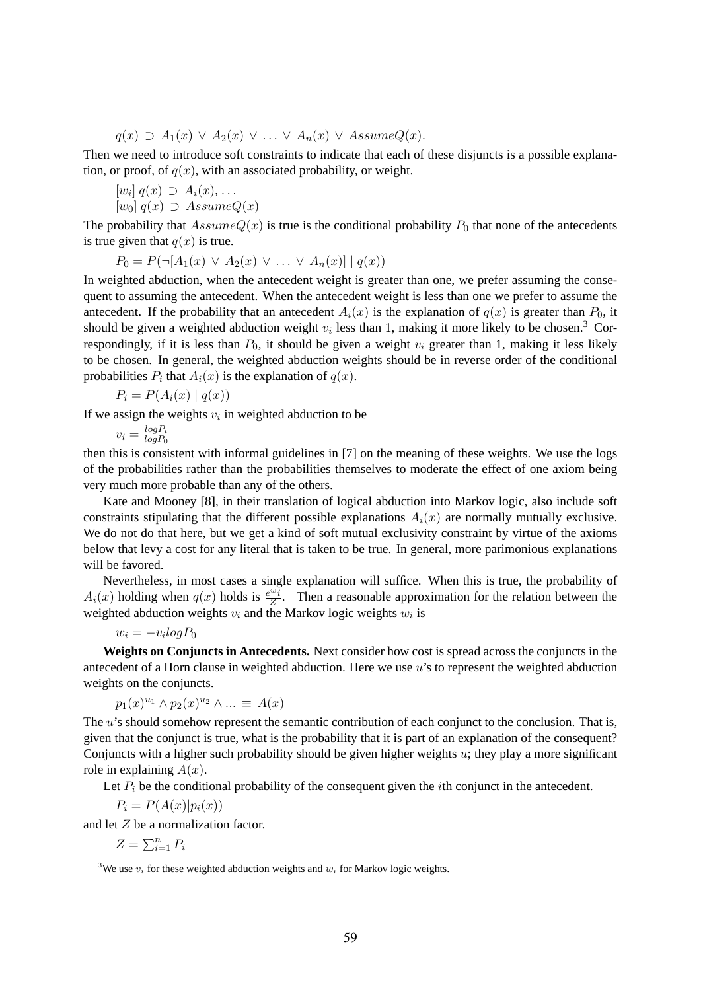$q(x) \supset A_1(x) \vee A_2(x) \vee \ldots \vee A_n(x) \vee AssumeQ(x).$ 

Then we need to introduce soft constraints to indicate that each of these disjuncts is a possible explanation, or proof, of  $q(x)$ , with an associated probability, or weight.

$$
[w_i] q(x) \supset A_i(x), \dots
$$
  

$$
[w_i] z(x) \supset A_3 \text{sgn}(x)
$$

 $[w_0]$   $q(x) \supset$  Assume $Q(x)$ 

The probability that  $AssumeQ(x)$  is true is the conditional probability  $P_0$  that none of the antecedents is true given that  $q(x)$  is true.

$$
P_0 = P(\neg [A_1(x) \lor A_2(x) \lor \dots \lor A_n(x)] \mid q(x))
$$

In weighted abduction, when the antecedent weight is greater than one, we prefer assuming the consequent to assuming the antecedent. When the antecedent weight is less than one we prefer to assume the antecedent. If the probability that an antecedent  $A_i(x)$  is the explanation of  $q(x)$  is greater than  $P_0$ , it should be given a weighted abduction weight  $v_i$  less than 1, making it more likely to be chosen.<sup>3</sup> Correspondingly, if it is less than  $P_0$ , it should be given a weight  $v_i$  greater than 1, making it less likely to be chosen. In general, the weighted abduction weights should be in reverse order of the conditional probabilities  $P_i$  that  $A_i(x)$  is the explanation of  $q(x)$ .

$$
P_i = P(A_i(x) | q(x))
$$

If we assign the weights  $v_i$  in weighted abduction to be

 $v_i = \frac{log P_i}{log P_0}$  $\overline{logP_0}$ 

then this is consistent with informal guidelines in [7] on the meaning of these weights. We use the logs of the probabilities rather than the probabilities themselves to moderate the effect of one axiom being very much more probable than any of the others.

Kate and Mooney [8], in their translation of logical abduction into Markov logic, also include soft constraints stipulating that the different possible explanations  $A_i(x)$  are normally mutually exclusive. We do not do that here, but we get a kind of soft mutual exclusivity constraint by virtue of the axioms below that levy a cost for any literal that is taken to be true. In general, more parimonious explanations will be favored.

Nevertheless, in most cases a single explanation will suffice. When this is true, the probability of  $A_i(x)$  holding when  $q(x)$  holds is  $\frac{e^{i\omega}i}{\overline{z}}$  $\frac{z^{i}z^{j}}{Z}$ . Then a reasonable approximation for the relation between the weighted abduction weights  $v_i$  and the Markov logic weights  $w_i$  is

$$
w_i = -v_i \log P_0
$$

**Weights on Conjuncts in Antecedents.** Next consider how cost is spread across the conjuncts in the antecedent of a Horn clause in weighted abduction. Here we use  $u$ 's to represent the weighted abduction weights on the conjuncts.

$$
p_1(x)^{u_1} \wedge p_2(x)^{u_2} \wedge \dots \equiv A(x)
$$

The u's should somehow represent the semantic contribution of each conjunct to the conclusion. That is, given that the conjunct is true, what is the probability that it is part of an explanation of the consequent? Conjuncts with a higher such probability should be given higher weights  $u$ ; they play a more significant role in explaining  $A(x)$ .

Let  $P_i$  be the conditional probability of the consequent given the *i*th conjunct in the antecedent.

 $P_i = P(A(x)|p_i(x))$ 

and let Z be a normalization factor.

 $Z = \sum_{i=1}^n P_i$ 

<sup>&</sup>lt;sup>3</sup>We use  $v_i$  for these weighted abduction weights and  $w_i$  for Markov logic weights.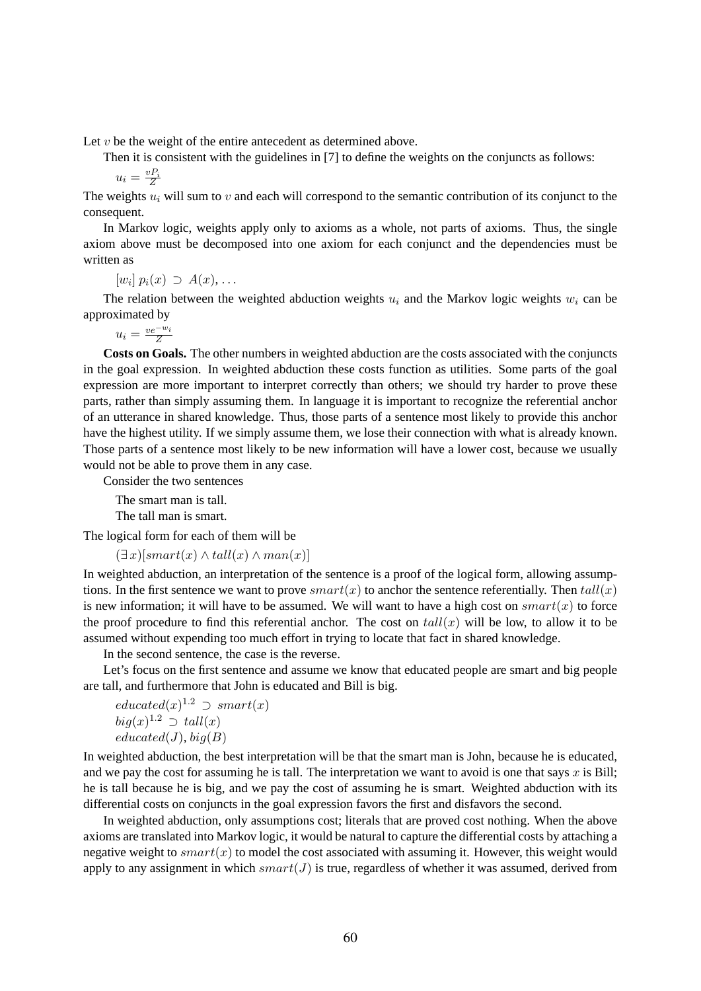Let  $v$  be the weight of the entire antecedent as determined above.

Then it is consistent with the guidelines in [7] to define the weights on the conjuncts as follows:

$$
u_i = \frac{v_i}{Z}
$$

The weights  $u_i$  will sum to v and each will correspond to the semantic contribution of its conjunct to the consequent.

In Markov logic, weights apply only to axioms as a whole, not parts of axioms. Thus, the single axiom above must be decomposed into one axiom for each conjunct and the dependencies must be written as

 $[w_i] p_i(x) \supset A(x), \ldots$ 

The relation between the weighted abduction weights  $u_i$  and the Markov logic weights  $w_i$  can be approximated by

$$
u_i = \frac{ve^{-w_i}}{Z}
$$

**Costs on Goals.** The other numbers in weighted abduction are the costs associated with the conjuncts in the goal expression. In weighted abduction these costs function as utilities. Some parts of the goal expression are more important to interpret correctly than others; we should try harder to prove these parts, rather than simply assuming them. In language it is important to recognize the referential anchor of an utterance in shared knowledge. Thus, those parts of a sentence most likely to provide this anchor have the highest utility. If we simply assume them, we lose their connection with what is already known. Those parts of a sentence most likely to be new information will have a lower cost, because we usually would not be able to prove them in any case.

Consider the two sentences

The smart man is tall.

The tall man is smart.

The logical form for each of them will be

 $(\exists x)[smart(x) \wedge tall(x) \wedge man(x)]$ 

In weighted abduction, an interpretation of the sentence is a proof of the logical form, allowing assumptions. In the first sentence we want to prove  $smart(x)$  to anchor the sentence referentially. Then  $tall(x)$ is new information; it will have to be assumed. We will want to have a high cost on  $smart(x)$  to force the proof procedure to find this referential anchor. The cost on  $tall(x)$  will be low, to allow it to be assumed without expending too much effort in trying to locate that fact in shared knowledge.

In the second sentence, the case is the reverse.

Let's focus on the first sentence and assume we know that educated people are smart and big people are tall, and furthermore that John is educated and Bill is big.

$$
educated(x)^{1.2} \supset smart(x) big(x)^{1.2} \supset tall(x) educated(J), big(B)
$$

In weighted abduction, the best interpretation will be that the smart man is John, because he is educated, and we pay the cost for assuming he is tall. The interpretation we want to avoid is one that says x is Bill; he is tall because he is big, and we pay the cost of assuming he is smart. Weighted abduction with its differential costs on conjuncts in the goal expression favors the first and disfavors the second.

In weighted abduction, only assumptions cost; literals that are proved cost nothing. When the above axioms are translated into Markov logic, it would be natural to capture the differential costs by attaching a negative weight to  $smart(x)$  to model the cost associated with assuming it. However, this weight would apply to any assignment in which  $smart(J)$  is true, regardless of whether it was assumed, derived from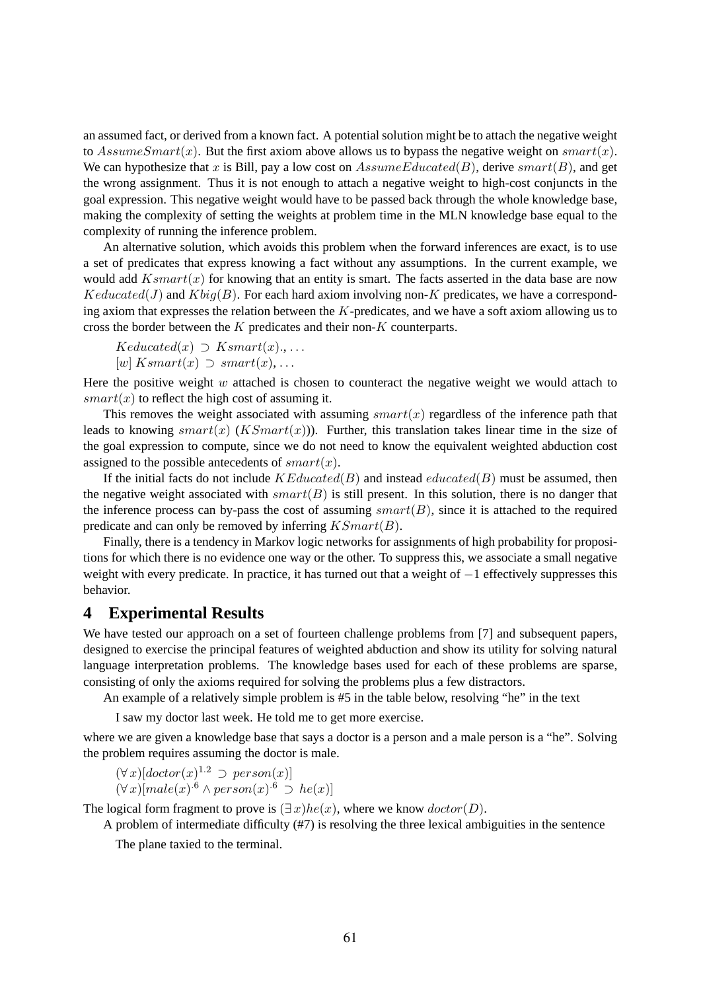an assumed fact, or derived from a known fact. A potential solution might be to attach the negative weight to AssumeSmart(x). But the first axiom above allows us to bypass the negative weight on smart(x). We can hypothesize that x is Bill, pay a low cost on  $AssumeEdward(B)$ , derive smart $(B)$ , and get the wrong assignment. Thus it is not enough to attach a negative weight to high-cost conjuncts in the goal expression. This negative weight would have to be passed back through the whole knowledge base, making the complexity of setting the weights at problem time in the MLN knowledge base equal to the complexity of running the inference problem.

An alternative solution, which avoids this problem when the forward inferences are exact, is to use a set of predicates that express knowing a fact without any assumptions. In the current example, we would add  $Ksmart(x)$  for knowing that an entity is smart. The facts asserted in the data base are now  $Keducated(J)$  and  $Kbig(B)$ . For each hard axiom involving non-K predicates, we have a corresponding axiom that expresses the relation between the  $K$ -predicates, and we have a soft axiom allowing us to cross the border between the K predicates and their non-K counterparts.

 $Keduced(x) \supset Ksmart(x), \ldots$  $[w]$  Ksmart $(x) \supset$  smart $(x)$ , ...

Here the positive weight  $w$  attached is chosen to counteract the negative weight we would attach to  $smart(x)$  to reflect the high cost of assuming it.

This removes the weight associated with assuming  $smart(x)$  regardless of the inference path that leads to knowing  $smart(x)$  (*KSmart(x)*)). Further, this translation takes linear time in the size of the goal expression to compute, since we do not need to know the equivalent weighted abduction cost assigned to the possible antecedents of  $smart(x)$ .

If the initial facts do not include  $KEduced(B)$  and instead  $calculated(B)$  must be assumed, then the negative weight associated with  $smart(B)$  is still present. In this solution, there is no danger that the inference process can by-pass the cost of assuming  $smart(B)$ , since it is attached to the required predicate and can only be removed by inferring  $KSmart(B)$ .

Finally, there is a tendency in Markov logic networks for assignments of high probability for propositions for which there is no evidence one way or the other. To suppress this, we associate a small negative weight with every predicate. In practice, it has turned out that a weight of −1 effectively suppresses this behavior.

#### **4 Experimental Results**

We have tested our approach on a set of fourteen challenge problems from [7] and subsequent papers, designed to exercise the principal features of weighted abduction and show its utility for solving natural language interpretation problems. The knowledge bases used for each of these problems are sparse, consisting of only the axioms required for solving the problems plus a few distractors.

An example of a relatively simple problem is #5 in the table below, resolving "he" in the text

I saw my doctor last week. He told me to get more exercise.

where we are given a knowledge base that says a doctor is a person and a male person is a "he". Solving the problem requires assuming the doctor is male.

 $(\forall x)[dactor(x)^{1.2} \supset person(x)]$  $(\forall x)[male(x)^{.6} \wedge person(x)^{.6} \supset he(x)]$ 

The logical form fragment to prove is  $(\exists x)he(x)$ , where we know  $doctor(D)$ .

A problem of intermediate difficulty (#7) is resolving the three lexical ambiguities in the sentence

The plane taxied to the terminal.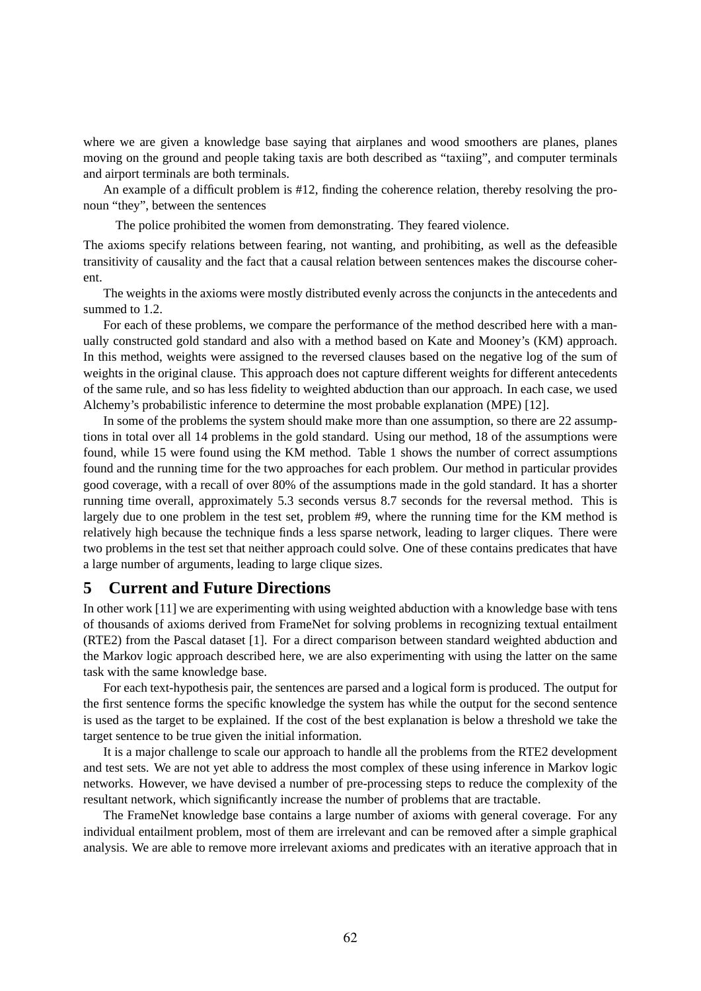where we are given a knowledge base saying that airplanes and wood smoothers are planes, planes moving on the ground and people taking taxis are both described as "taxiing", and computer terminals and airport terminals are both terminals.

An example of a difficult problem is #12, finding the coherence relation, thereby resolving the pronoun "they", between the sentences

The police prohibited the women from demonstrating. They feared violence.

The axioms specify relations between fearing, not wanting, and prohibiting, as well as the defeasible transitivity of causality and the fact that a causal relation between sentences makes the discourse coherent.

The weights in the axioms were mostly distributed evenly across the conjuncts in the antecedents and summed to 1.2.

For each of these problems, we compare the performance of the method described here with a manually constructed gold standard and also with a method based on Kate and Mooney's (KM) approach. In this method, weights were assigned to the reversed clauses based on the negative log of the sum of weights in the original clause. This approach does not capture different weights for different antecedents of the same rule, and so has less fidelity to weighted abduction than our approach. In each case, we used Alchemy's probabilistic inference to determine the most probable explanation (MPE) [12].

In some of the problems the system should make more than one assumption, so there are 22 assumptions in total over all 14 problems in the gold standard. Using our method, 18 of the assumptions were found, while 15 were found using the KM method. Table 1 shows the number of correct assumptions found and the running time for the two approaches for each problem. Our method in particular provides good coverage, with a recall of over 80% of the assumptions made in the gold standard. It has a shorter running time overall, approximately 5.3 seconds versus 8.7 seconds for the reversal method. This is largely due to one problem in the test set, problem #9, where the running time for the KM method is relatively high because the technique finds a less sparse network, leading to larger cliques. There were two problems in the test set that neither approach could solve. One of these contains predicates that have a large number of arguments, leading to large clique sizes.

#### **5 Current and Future Directions**

In other work [11] we are experimenting with using weighted abduction with a knowledge base with tens of thousands of axioms derived from FrameNet for solving problems in recognizing textual entailment (RTE2) from the Pascal dataset [1]. For a direct comparison between standard weighted abduction and the Markov logic approach described here, we are also experimenting with using the latter on the same task with the same knowledge base.

For each text-hypothesis pair, the sentences are parsed and a logical form is produced. The output for the first sentence forms the specific knowledge the system has while the output for the second sentence is used as the target to be explained. If the cost of the best explanation is below a threshold we take the target sentence to be true given the initial information.

It is a major challenge to scale our approach to handle all the problems from the RTE2 development and test sets. We are not yet able to address the most complex of these using inference in Markov logic networks. However, we have devised a number of pre-processing steps to reduce the complexity of the resultant network, which significantly increase the number of problems that are tractable.

The FrameNet knowledge base contains a large number of axioms with general coverage. For any individual entailment problem, most of them are irrelevant and can be removed after a simple graphical analysis. We are able to remove more irrelevant axioms and predicates with an iterative approach that in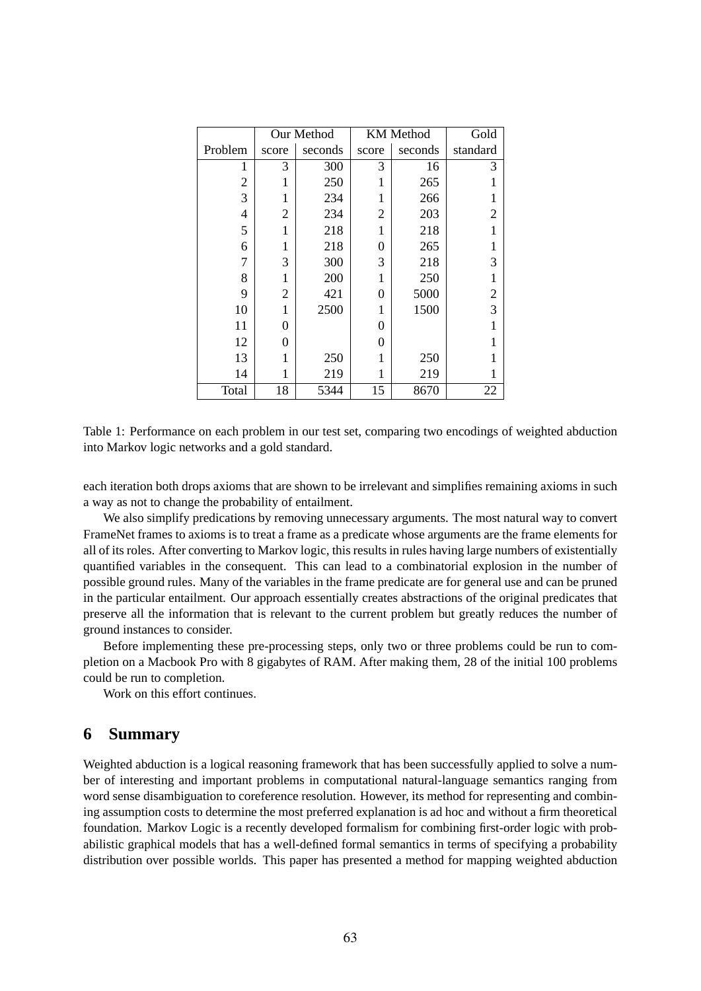|                | Our Method |         | <b>KM</b> Method |         | Gold                    |
|----------------|------------|---------|------------------|---------|-------------------------|
| Problem        | score      | seconds | score            | seconds | standard                |
| 1              | 3          | 300     | 3                | 16      | 3                       |
| $\overline{2}$ | 1          | 250     |                  | 265     |                         |
| 3              | 1          | 234     | 1                | 266     |                         |
| 4              | 2          | 234     | 2                | 203     | $\overline{c}$          |
| 5              | 1          | 218     | 1                | 218     |                         |
| 6              | 1          | 218     | 0                | 265     |                         |
| 7              | 3          | 300     | 3                | 218     | 3                       |
| 8              | 1          | 200     |                  | 250     | 1                       |
| 9              | 2          | 421     | 0                | 5000    | $\overline{\mathbf{c}}$ |
| 10             | 1          | 2500    | 1                | 1500    | $\overline{3}$          |
| 11             | 0          |         | $\theta$         |         |                         |
| 12             | 0          |         | 0                |         |                         |
| 13             | 1          | 250     |                  | 250     |                         |
| 14             | 1          | 219     | 1                | 219     |                         |
| Total          | 18         | 5344    | 15               | 8670    | 22                      |

Table 1: Performance on each problem in our test set, comparing two encodings of weighted abduction into Markov logic networks and a gold standard.

each iteration both drops axioms that are shown to be irrelevant and simplifies remaining axioms in such a way as not to change the probability of entailment.

We also simplify predications by removing unnecessary arguments. The most natural way to convert FrameNet frames to axioms is to treat a frame as a predicate whose arguments are the frame elements for all of its roles. After converting to Markov logic, this results in rules having large numbers of existentially quantified variables in the consequent. This can lead to a combinatorial explosion in the number of possible ground rules. Many of the variables in the frame predicate are for general use and can be pruned in the particular entailment. Our approach essentially creates abstractions of the original predicates that preserve all the information that is relevant to the current problem but greatly reduces the number of ground instances to consider.

Before implementing these pre-processing steps, only two or three problems could be run to completion on a Macbook Pro with 8 gigabytes of RAM. After making them, 28 of the initial 100 problems could be run to completion.

Work on this effort continues.

#### **6 Summary**

Weighted abduction is a logical reasoning framework that has been successfully applied to solve a number of interesting and important problems in computational natural-language semantics ranging from word sense disambiguation to coreference resolution. However, its method for representing and combining assumption costs to determine the most preferred explanation is ad hoc and without a firm theoretical foundation. Markov Logic is a recently developed formalism for combining first-order logic with probabilistic graphical models that has a well-defined formal semantics in terms of specifying a probability distribution over possible worlds. This paper has presented a method for mapping weighted abduction